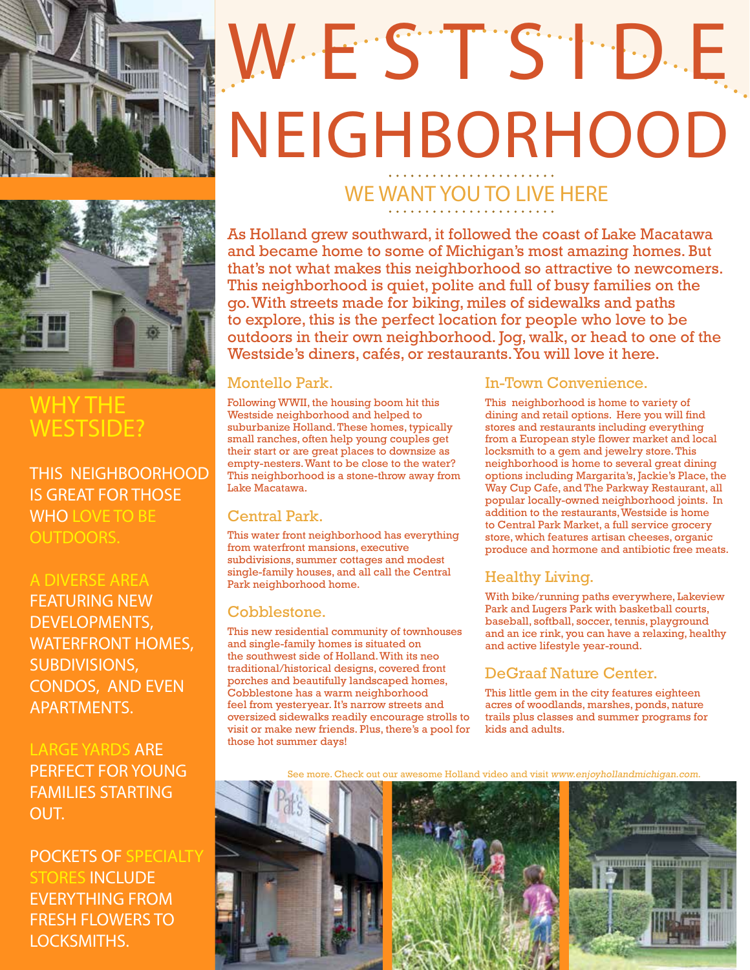

# WESTSIE NEIGHBORHOOD



### WHY THE WESTSIDE?

THIS NEIGHBOORHOOD IS GREAT FOR THOSE WHO LOVE TO BE OUTDOORS.

#### A DIVERSE AREA

FEATURING NEW DEVELOPMENTS, WATERFRONT HOMES, SUBDIVISIONS, CONDOS, AND EVEN APARTMENTS.

LARGE YARDS ARE PERFECT FOR YOUNG FAMILIES STARTING OUT.

POCKETS OF SPECIALTY STORES INCLUDE EVERYTHING FROM FRESH FLOWERS TO LOCKSMITHS.

## WE WANT YOU TO LIVE HERE

As Holland grew southward, it followed the coast of Lake Macatawa and became home to some of Michigan's most amazing homes. But that's not what makes this neighborhood so attractive to newcomers. This neighborhood is quiet, polite and full of busy families on the go. With streets made for biking, miles of sidewalks and paths to explore, this is the perfect location for people who love to be outdoors in their own neighborhood. Jog, walk, or head to one of the Westside's diners, cafés, or restaurants. You will love it here.

#### Montello Park.

Following WWII, the housing boom hit this Westside neighborhood and helped to suburbanize Holland. These homes, typically small ranches, often help young couples get their start or are great places to downsize as empty-nesters. Want to be close to the water? This neighborhood is a stone-throw away from Lake Macatawa.

#### Central Park.

This water front neighborhood has everything from waterfront mansions, executive subdivisions, summer cottages and modest single-family houses, and all call the Central Park neighborhood home.

#### Cobblestone.

This new residential community of townhouses and single-family homes is situated on the southwest side of Holland. With its neo traditional/historical designs, covered front porches and beautifully landscaped homes, Cobblestone has a warm neighborhood feel from yesteryear. It's narrow streets and oversized sidewalks readily encourage strolls to visit or make new friends. Plus, there's a pool for those hot summer days!

#### In-Town Convenience.

This neighborhood is home to variety of dining and retail options. Here you will find stores and restaurants including everything from a European style flower market and local locksmith to a gem and jewelry store. This neighborhood is home to several great dining options including Margarita's, Jackie's Place, the Way Cup Cafe, and The Parkway Restaurant, all popular locally-owned neighborhood joints. In addition to the restaurants, Westside is home to Central Park Market, a full service grocery store, which features artisan cheeses, organic produce and hormone and antibiotic free meats.

#### Healthy Living.

With bike/running paths everywhere, Lakeview Park and Lugers Park with basketball courts, baseball, softball, soccer, tennis, playground and an ice rink, you can have a relaxing, healthy and active lifestyle year-round.

#### DeGraaf Nature Center.

This little gem in the city features eighteen acres of woodlands, marshes, ponds, nature trails plus classes and summer programs for kids and adults.

See more. Check out our awesome Holland video and visit www.enjoyhollandmichigan.com.